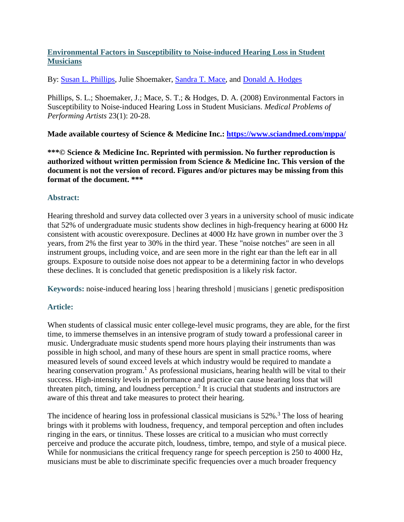# **Environmental Factors in Susceptibility to Noise-induced Hearing Loss in Student Musicians**

By: [Susan L. Phillips,](http://libres.uncg.edu/ir/uncg/clist.aspx?id=1480) Julie Shoemaker, [Sandra T. Mace,](http://libres.uncg.edu/ir/uncg/clist.aspx?id=2501) and [Donald A. Hodges](http://libres.uncg.edu/ir/uncg/clist.aspx?id=2915)

Phillips, S. L.; Shoemaker, J.; Mace, S. T.; & Hodges, D. A. (2008) Environmental Factors in Susceptibility to Noise-induced Hearing Loss in Student Musicians. *Medical Problems of Performing Artists* 23(1): 20-28.

**Made available courtesy of Science & Medicine Inc.:<https://www.sciandmed.com/mppa/>**

**\*\*\*© Science & Medicine Inc. Reprinted with permission. No further reproduction is authorized without written permission from Science & Medicine Inc. This version of the document is not the version of record. Figures and/or pictures may be missing from this format of the document. \*\*\***

### **Abstract:**

Hearing threshold and survey data collected over 3 years in a university school of music indicate that 52% of undergraduate music students show declines in high-frequency hearing at 6000 Hz consistent with acoustic overexposure. Declines at 4000 Hz have grown in number over the 3 years, from 2% the first year to 30% in the third year. These "noise notches" are seen in all instrument groups, including voice, and are seen more in the right ear than the left ear in all groups. Exposure to outside noise does not appear to be a determining factor in who develops these declines. It is concluded that genetic predisposition is a likely risk factor.

**Keywords:** noise-induced hearing loss | hearing threshold | musicians | genetic predisposition

## **Article:**

When students of classical music enter college-level music programs, they are able, for the first time, to immerse themselves in an intensive program of study toward a professional career in music. Undergraduate music students spend more hours playing their instruments than was possible in high school, and many of these hours are spent in small practice rooms, where measured levels of sound exceed levels at which industry would be required to mandate a hearing conservation program.<sup>1</sup> As professional musicians, hearing health will be vital to their success. High-intensity levels in performance and practice can cause hearing loss that will threaten pitch, timing, and loudness perception.<sup>2</sup> It is crucial that students and instructors are aware of this threat and take measures to protect their hearing.

The incidence of hearing loss in professional classical musicians is  $52\%$ .<sup>3</sup> The loss of hearing brings with it problems with loudness, frequency, and temporal perception and often includes ringing in the ears, or tinnitus. These losses are critical to a musician who must correctly perceive and produce the accurate pitch, loudness, timbre, tempo, and style of a musical piece. While for nonmusicians the critical frequency range for speech perception is 250 to 4000 Hz, musicians must be able to discriminate specific frequencies over a much broader frequency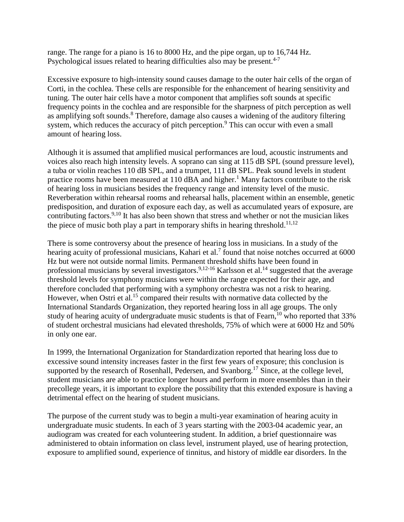range. The range for a piano is 16 to 8000 Hz, and the pipe organ, up to 16,744 Hz. Psychological issues related to hearing difficulties also may be present.<sup>4-7</sup>

Excessive exposure to high-intensity sound causes damage to the outer hair cells of the organ of Corti, in the cochlea. These cells are responsible for the enhancement of hearing sensitivity and tuning. The outer hair cells have a motor component that amplifies soft sounds at specific frequency points in the cochlea and are responsible for the sharpness of pitch perception as well as amplifying soft sounds.<sup>8</sup> Therefore, damage also causes a widening of the auditory filtering system, which reduces the accuracy of pitch perception.<sup>9</sup> This can occur with even a small amount of hearing loss.

Although it is assumed that amplified musical performances are loud, acoustic instruments and voices also reach high intensity levels. A soprano can sing at 115 dB SPL (sound pressure level), a tuba or violin reaches 110 dB SPL, and a trumpet, 111 dB SPL. Peak sound levels in student practice rooms have been measured at  $110$  dBA and higher.<sup>1</sup> Many factors contribute to the risk of hearing loss in musicians besides the frequency range and intensity level of the music. Reverberation within rehearsal rooms and rehearsal halls, placement within an ensemble, genetic predisposition, and duration of exposure each day, as well as accumulated years of exposure, are contributing factors.<sup>9,10</sup> It has also been shown that stress and whether or not the musician likes the piece of music both play a part in temporary shifts in hearing threshold.<sup>11,12</sup>

There is some controversy about the presence of hearing loss in musicians. In a study of the hearing acuity of professional musicians, Kahari et al.<sup>7</sup> found that noise notches occurred at  $6000$ Hz but were not outside normal limits. Permanent threshold shifts have been found in professional musicians by several investigators.<sup>9,12-16</sup> Karlsson et al.<sup>14</sup> suggested that the average threshold levels for symphony musicians were within the range expected for their age, and therefore concluded that performing with a symphony orchestra was not a risk to hearing. However, when Ostri et al.<sup>15</sup> compared their results with normative data collected by the International Standards Organization, they reported hearing loss in all age groups. The only study of hearing acuity of undergraduate music students is that of Fearn,  $10$  who reported that 33% of student orchestral musicians had elevated thresholds, 75% of which were at 6000 Hz and 50% in only one ear.

In 1999, the International Organization for Standardization reported that hearing loss due to excessive sound intensity increases faster in the first few years of exposure; this conclusion is supported by the research of Rosenhall, Pedersen, and Svanborg.<sup>17</sup> Since, at the college level, student musicians are able to practice longer hours and perform in more ensembles than in their precollege years, it is important to explore the possibility that this extended exposure is having a detrimental effect on the hearing of student musicians.

The purpose of the current study was to begin a multi-year examination of hearing acuity in undergraduate music students. In each of 3 years starting with the 2003-04 academic year, an audiogram was created for each volunteering student. In addition, a brief questionnaire was administered to obtain information on class level, instrument played, use of hearing protection, exposure to amplified sound, experience of tinnitus, and history of middle ear disorders. In the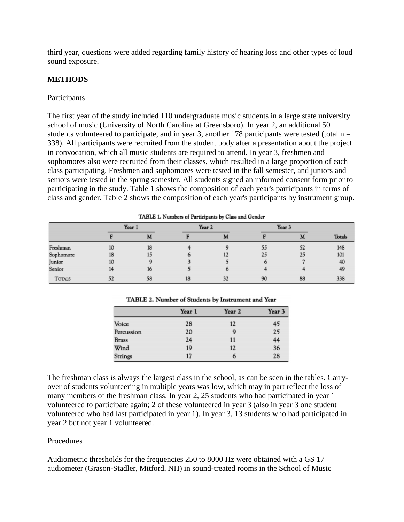third year, questions were added regarding family history of hearing loss and other types of loud sound exposure.

# **METHODS**

### Participants

The first year of the study included 110 undergraduate music students in a large state university school of music (University of North Carolina at Greensboro). In year 2, an additional 50 students volunteered to participate, and in year 3, another 178 participants were tested (total  $n =$ 338). All participants were recruited from the student body after a presentation about the project in convocation, which all music students are required to attend. In year 3, freshmen and sophomores also were recruited from their classes, which resulted in a large proportion of each class participating. Freshmen and sophomores were tested in the fall semester, and juniors and seniors were tested in the spring semester. All students signed an informed consent form prior to participating in the study. Table 1 shows the composition of each year's participants in terms of class and gender. Table 2 shows the composition of each year's participants by instrument group.

|               |    |        |    | <b>LADLE 1. Numbers of Participants by Class and Gender</b> |        |    |               |
|---------------|----|--------|----|-------------------------------------------------------------|--------|----|---------------|
|               |    | Year 1 |    | Year 2                                                      | Year 3 |    |               |
|               |    | M      |    |                                                             |        | M  | <b>Totals</b> |
| Freshman      | 10 | 18     |    |                                                             | 55     | 52 | 148           |
| Sophomore     | 18 | 15     |    | 12                                                          | 25     | 25 | 101           |
| Junior        | 10 |        |    |                                                             |        |    | 40            |
| Senior        |    | 16     |    |                                                             |        |    | 49            |
| <b>TOTALS</b> | 52 | 58     | 18 | 32                                                          | 90     | 88 | 338           |

TABLE 1. Number of Basticiansk by Class and Condon

|              | Year 1 | Year 2 | Year 3 |  |
|--------------|--------|--------|--------|--|
| Voice        | 28     | 12     | 45     |  |
| Percussion   | 20     | 9      | 25     |  |
| <b>Brass</b> | 24     | 11     | 44     |  |
| Wind         | 19     | 12     | 36     |  |
| Strings      | 17     | 6      | 28     |  |

TABLE 2. Number of Students by Instrument and Year

The freshman class is always the largest class in the school, as can be seen in the tables. Carryover of students volunteering in multiple years was low, which may in part reflect the loss of many members of the freshman class. In year 2, 25 students who had participated in year 1 volunteered to participate again; 2 of these volunteered in year 3 (also in year 3 one student volunteered who had last participated in year 1). In year 3, 13 students who had participated in year 2 but not year 1 volunteered.

## Procedures

Audiometric thresholds for the frequencies 250 to 8000 Hz were obtained with a GS 17 audiometer (Grason-Stadler, Mitford, NH) in sound-treated rooms in the School of Music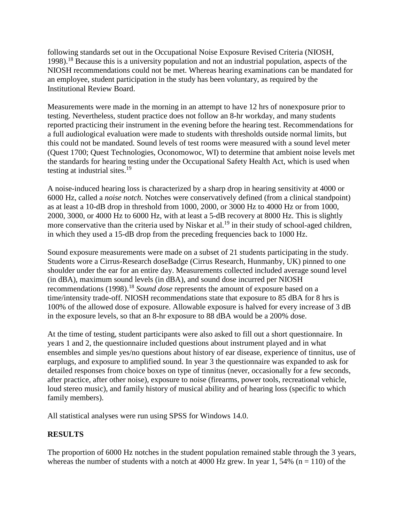following standards set out in the Occupational Noise Exposure Revised Criteria (NIOSH, 1998).18 Because this is a university population and not an industrial population, aspects of the NIOSH recommendations could not be met. Whereas hearing examinations can be mandated for an employee, student participation in the study has been voluntary, as required by the Institutional Review Board.

Measurements were made in the morning in an attempt to have 12 hrs of nonexposure prior to testing. Nevertheless, student practice does not follow an 8-hr workday, and many students reported practicing their instrument in the evening before the hearing test. Recommendations for a full audiological evaluation were made to students with thresholds outside normal limits, but this could not be mandated. Sound levels of test rooms were measured with a sound level meter (Quest 1700; Quest Technologies, Oconomowoc, WI) to determine that ambient noise levels met the standards for hearing testing under the Occupational Safety Health Act, which is used when testing at industrial sites.<sup>19</sup>

A noise-induced hearing loss is characterized by a sharp drop in hearing sensitivity at 4000 or 6000 Hz, called a *noise notch*. Notches were conservatively defined (from a clinical standpoint) as at least a 10-dB drop in threshold from 1000, 2000, or 3000 Hz to 4000 Hz or from 1000, 2000, 3000, or 4000 Hz to 6000 Hz, with at least a 5-dB recovery at 8000 Hz. This is slightly more conservative than the criteria used by Niskar et al.<sup>19</sup> in their study of school-aged children, in which they used a 15-dB drop from the preceding frequencies back to 1000 Hz.

Sound exposure measurements were made on a subset of 21 students participating in the study. Students wore a Cirrus-Research doseBadge (Cirrus Research, Hunmanby, UK) pinned to one shoulder under the ear for an entire day. Measurements collected included average sound level (in dBA), maximum sound levels (in dBA), and sound dose incurred per NIOSH recommendations (1998).18 *Sound dose* represents the amount of exposure based on a time/intensity trade-off. NIOSH recommendations state that exposure to 85 dBA for 8 hrs is 100% of the allowed dose of exposure. Allowable exposure is halved for every increase of 3 dB in the exposure levels, so that an 8-hr exposure to 88 dBA would be a 200% dose.

At the time of testing, student participants were also asked to fill out a short questionnaire. In years 1 and 2, the questionnaire included questions about instrument played and in what ensembles and simple yes/no questions about history of ear disease, experience of tinnitus, use of earplugs, and exposure to amplified sound. In year 3 the questionnaire was expanded to ask for detailed responses from choice boxes on type of tinnitus (never, occasionally for a few seconds, after practice, after other noise), exposure to noise (firearms, power tools, recreational vehicle, loud stereo music), and family history of musical ability and of hearing loss (specific to which family members).

All statistical analyses were run using SPSS for Windows 14.0.

# **RESULTS**

The proportion of 6000 Hz notches in the student population remained stable through the 3 years, whereas the number of students with a notch at 4000 Hz grew. In year 1, 54% ( $n = 110$ ) of the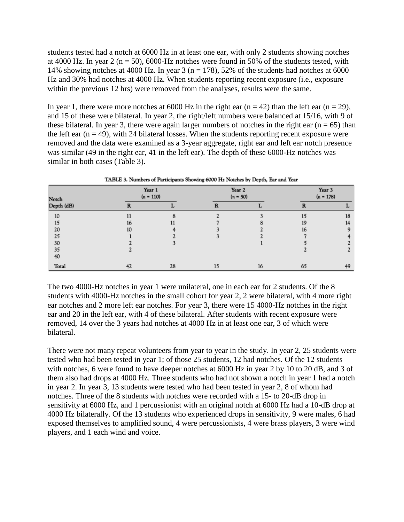students tested had a notch at 6000 Hz in at least one ear, with only 2 students showing notches at 4000 Hz. In year 2 ( $n = 50$ ), 6000-Hz notches were found in 50% of the students tested, with 14% showing notches at 4000 Hz. In year 3 ( $n = 178$ ), 52% of the students had notches at 6000 Hz and 30% had notches at 4000 Hz. When students reporting recent exposure (i.e., exposure within the previous 12 hrs) were removed from the analyses, results were the same.

In year 1, there were more notches at 6000 Hz in the right ear  $(n = 42)$  than the left ear  $(n = 29)$ , and 15 of these were bilateral. In year 2, the right/left numbers were balanced at 15/16, with 9 of these bilateral. In year 3, there were again larger numbers of notches in the right ear  $(n = 65)$  than the left ear  $(n = 49)$ , with 24 bilateral losses. When the students reporting recent exposure were removed and the data were examined as a 3-year aggregate, right ear and left ear notch presence was similar (49 in the right ear, 41 in the left ear). The depth of these 6000-Hz notches was similar in both cases (Table 3).

| Notch      |    | Year 1<br>$(n = 110)$ |    | Year 2<br>$(n = 50)$ | Year 3<br>$(n = 178)$ |    |  |
|------------|----|-----------------------|----|----------------------|-----------------------|----|--|
| Depth (dB) |    |                       |    |                      |                       |    |  |
| 10         |    |                       |    |                      | 15                    | 18 |  |
| 15         | 16 |                       |    |                      | 19                    | 14 |  |
| 20         | 10 |                       |    |                      | 16                    |    |  |
| 25         |    |                       |    |                      |                       |    |  |
| 30         |    |                       |    |                      |                       |    |  |
| 35         |    |                       |    |                      |                       |    |  |
| 40         |    |                       |    |                      |                       |    |  |
| Total      |    | 28                    | 15 | 16                   | 65                    | 49 |  |

TABLE 3. Numbers of Participants Showing 6000 Hz Notches by Depth. Ear and Year

The two 4000-Hz notches in year 1 were unilateral, one in each ear for 2 students. Of the 8 students with 4000-Hz notches in the small cohort for year 2, 2 were bilateral, with 4 more right ear notches and 2 more left ear notches. For year 3, there were 15 4000-Hz notches in the right ear and 20 in the left ear, with 4 of these bilateral. After students with recent exposure were removed, 14 over the 3 years had notches at 4000 Hz in at least one ear, 3 of which were bilateral.

There were not many repeat volunteers from year to year in the study. In year 2, 25 students were tested who had been tested in year 1; of those 25 students, 12 had notches. Of the 12 students with notches, 6 were found to have deeper notches at 6000 Hz in year 2 by 10 to 20 dB, and 3 of them also had drops at 4000 Hz. Three students who had not shown a notch in year 1 had a notch in year 2. In year 3, 13 students were tested who had been tested in year 2, 8 of whom had notches. Three of the 8 students with notches were recorded with a 15- to 20-dB drop in sensitivity at 6000 Hz, and 1 percussionist with an original notch at 6000 Hz had a 10-dB drop at 4000 Hz bilaterally. Of the 13 students who experienced drops in sensitivity, 9 were males, 6 had exposed themselves to amplified sound, 4 were percussionists, 4 were brass players, 3 were wind players, and 1 each wind and voice.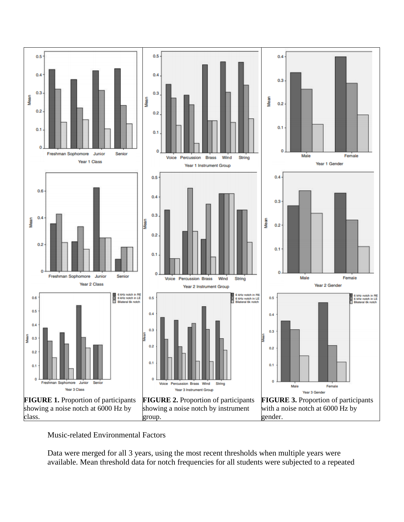

Music-related Environmental Factors

Data were merged for all 3 years, using the most recent thresholds when multiple years were available. Mean threshold data for notch frequencies for all students were subjected to a repeated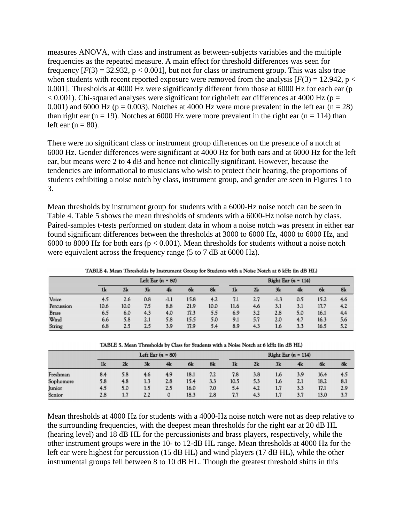measures ANOVA, with class and instrument as between-subjects variables and the multiple frequencies as the repeated measure. A main effect for threshold differences was seen for frequency  $[F(3) = 32.932, p < 0.001]$ , but not for class or instrument group. This was also true when students with recent reported exposure were removed from the analysis  $[F(3) = 12.942, p <$ 0.001]. Thresholds at 4000 Hz were significantly different from those at 6000 Hz for each ear (p  $< 0.001$ ). Chi-squared analyses were significant for right/left ear differences at 4000 Hz (p = 0.001) and 6000 Hz ( $p = 0.003$ ). Notches at 4000 Hz were more prevalent in the left ear ( $n = 28$ ) than right ear ( $n = 19$ ). Notches at 6000 Hz were more prevalent in the right ear ( $n = 114$ ) than left ear  $(n = 80)$ .

There were no significant class or instrument group differences on the presence of a notch at 6000 Hz. Gender differences were significant at 4000 Hz for both ears and at 6000 Hz for the left ear, but means were 2 to 4 dB and hence not clinically significant. However, because the tendencies are informational to musicians who wish to protect their hearing, the proportions of students exhibiting a noise notch by class, instrument group, and gender are seen in Figures 1 to 3.

Mean thresholds by instrument group for students with a 6000-Hz noise notch can be seen in Table 4. Table 5 shows the mean thresholds of students with a 6000-Hz noise notch by class. Paired-samples t-tests performed on student data in whom a noise notch was present in either ear found significant differences between the thresholds at 3000 to 6000 Hz, 4000 to 6000 Hz, and 6000 to 8000 Hz for both ears ( $p < 0.001$ ). Mean thresholds for students without a noise notch were equivalent across the frequency range (5 to 7 dB at 6000 Hz).

|              | Left Ear $(n = 80)$ |      |     |        |      | Right Ear $(n - 114)$ |      |     |        |     |      |     |
|--------------|---------------------|------|-----|--------|------|-----------------------|------|-----|--------|-----|------|-----|
|              | 1k                  | 2k   | 3k  | 4k     | 6k   | 8k                    | 1k   | 2k  | 3k     | 4k  | 6k   | 8k  |
| Voice        | 4.5                 | 2.6  | 0.8 | $-1.1$ | 15.8 | 4.2                   | 7.1  | 2.7 | $-1.3$ | 0.5 | 15.2 | 4.6 |
| Percussion   | 10.6                | 10.0 | 7.5 | 8.8    | 21.9 | 10.0                  | 11.6 | 4.6 | 3.1    | 3.1 | 17.7 | 4.2 |
| <b>Brass</b> | 6.5                 | 6.0  | 4.3 | 4.0    | 17.3 | 5.5                   | 6.9  | 3.2 | 2.8    | 5.0 | 16.1 | 4.4 |
| Wind         | 6.6                 | 5.8  | 2.1 | 5.8    | 15.5 | 5.0                   | 9.1  | 5.7 | 2.0    | 4.7 | 16.3 | 5.6 |
| String       | 6.8                 | 2.5  | 2.5 | 3.9    | 17.9 | 5.4                   | 8.9  | 4.3 | 1.6    | 3.3 | 16.5 | 5.2 |

TABLE 4, Mean Thresholds by Instrument Group for Students with a Noise Notch at 6 kHz (in dB HL)

|           | Left Ear $(n = 80)$ |     |     |     | Right Ear $(n - 114)$ |     |      |     |     |     |      |     |
|-----------|---------------------|-----|-----|-----|-----------------------|-----|------|-----|-----|-----|------|-----|
|           | 1 <sub>k</sub>      | 2k  | 3k  | 4k  | 6k                    | 8k  | 1k   | 2k  | 3k  | 4k  | 6k   | 8k  |
| Freshman  | 8.4                 | 5.8 | 4.6 | 4.9 | 18.1                  | 7.2 | 7.8  | 3.8 | 1.6 | 3.9 | 16.4 | 4.5 |
| Sophomore | 5.8                 | 4.8 | 1.3 | 2.8 | 15.4                  | 3.3 | 10.5 | 5.3 | 1.6 | 2.1 | 18.2 | 8.1 |
| Junior    | 4.5                 | 5.0 | 1.5 | 2.5 | 16.0                  | 7.0 | 5.4  | 4.2 | 1.7 | 3.3 | 17.1 | 2.9 |
| Senior    | 2.8                 | 1.7 | 2.2 | 0   | 18.3                  | 2.8 | 7.7  | 4.3 | 1.7 | 3.7 | 13.0 | 3.7 |

Mean thresholds at 4000 Hz for students with a 4000-Hz noise notch were not as deep relative to the surrounding frequencies, with the deepest mean thresholds for the right ear at 20 dB HL (hearing level) and 18 dB HL for the percussionists and brass players, respectively, while the other instrument groups were in the 10- to 12-dB HL range. Mean thresholds at 4000 Hz for the left ear were highest for percussion (15 dB HL) and wind players (17 dB HL), while the other instrumental groups fell between 8 to 10 dB HL. Though the greatest threshold shifts in this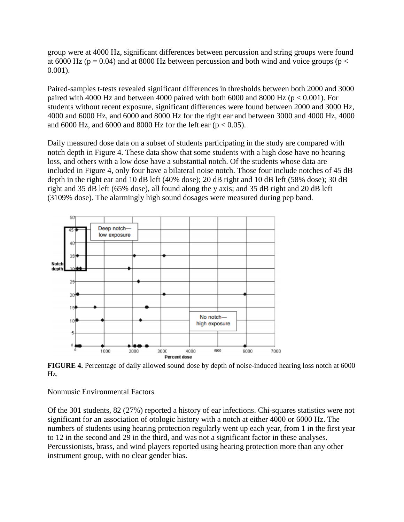group were at 4000 Hz, significant differences between percussion and string groups were found at 6000 Hz ( $p = 0.04$ ) and at 8000 Hz between percussion and both wind and voice groups ( $p <$ 0.001).

Paired-samples t-tests revealed significant differences in thresholds between both 2000 and 3000 paired with 4000 Hz and between 4000 paired with both 6000 and 8000 Hz ( $p < 0.001$ ). For students without recent exposure, significant differences were found between 2000 and 3000 Hz, 4000 and 6000 Hz, and 6000 and 8000 Hz for the right ear and between 3000 and 4000 Hz, 4000 and 6000 Hz, and 6000 and 8000 Hz for the left ear ( $p < 0.05$ ).

Daily measured dose data on a subset of students participating in the study are compared with notch depth in Figure 4. These data show that some students with a high dose have no hearing loss, and others with a low dose have a substantial notch. Of the students whose data are included in Figure 4, only four have a bilateral noise notch. Those four include notches of 45 dB depth in the right ear and 10 dB left (40% dose); 20 dB right and 10 dB left (58% dose); 30 dB right and 35 dB left (65% dose), all found along the y axis; and 35 dB right and 20 dB left (3109% dose). The alarmingly high sound dosages were measured during pep band.



**FIGURE 4.** Percentage of daily allowed sound dose by depth of noise-induced hearing loss notch at 6000 Hz.

Nonmusic Environmental Factors

Of the 301 students, 82 (27%) reported a history of ear infections. Chi-squares statistics were not significant for an association of otologic history with a notch at either 4000 or 6000 Hz. The numbers of students using hearing protection regularly went up each year, from 1 in the first year to 12 in the second and 29 in the third, and was not a significant factor in these analyses. Percussionists, brass, and wind players reported using hearing protection more than any other instrument group, with no clear gender bias.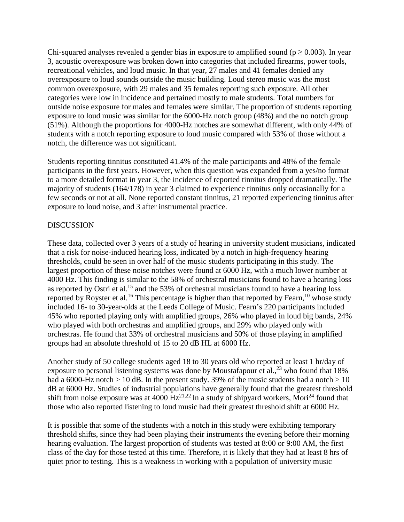Chi-squared analyses revealed a gender bias in exposure to amplified sound ( $p \ge 0.003$ ). In year 3, acoustic overexposure was broken down into categories that included firearms, power tools, recreational vehicles, and loud music. In that year, 27 males and 41 females denied any overexposure to loud sounds outside the music building. Loud stereo music was the most common overexposure, with 29 males and 35 females reporting such exposure. All other categories were low in incidence and pertained mostly to male students. Total numbers for outside noise exposure for males and females were similar. The proportion of students reporting exposure to loud music was similar for the 6000-Hz notch group (48%) and the no notch group (51%). Although the proportions for 4000-Hz notches are somewhat different, with only 44% of students with a notch reporting exposure to loud music compared with 53% of those without a notch, the difference was not significant.

Students reporting tinnitus constituted 41.4% of the male participants and 48% of the female participants in the first years. However, when this question was expanded from a yes/no format to a more detailed format in year 3, the incidence of reported tinnitus dropped dramatically. The majority of students (164/178) in year 3 claimed to experience tinnitus only occasionally for a few seconds or not at all. None reported constant tinnitus, 21 reported experiencing tinnitus after exposure to loud noise, and 3 after instrumental practice.

### DISCUSSION

These data, collected over 3 years of a study of hearing in university student musicians, indicated that a risk for noise-induced hearing loss, indicated by a notch in high-frequency hearing thresholds, could be seen in over half of the music students participating in this study. The largest proportion of these noise notches were found at 6000 Hz, with a much lower number at 4000 Hz. This finding is similar to the 58% of orchestral musicians found to have a hearing loss as reported by Ostri et al.<sup>15</sup> and the 53% of orchestral musicians found to have a hearing loss reported by Royster et al.<sup>16</sup> This percentage is higher than that reported by Fearn,<sup>10</sup> whose study included 16- to 30-year-olds at the Leeds College of Music. Fearn's 220 participants included 45% who reported playing only with amplified groups, 26% who played in loud big bands, 24% who played with both orchestras and amplified groups, and 29% who played only with orchestras. He found that 33% of orchestral musicians and 50% of those playing in amplified groups had an absolute threshold of 15 to 20 dB HL at 6000 Hz.

Another study of 50 college students aged 18 to 30 years old who reported at least 1 hr/day of exposure to personal listening systems was done by Moustafapour et al.,  $^{23}$  who found that 18% had a 6000-Hz notch  $> 10$  dB. In the present study. 39% of the music students had a notch  $> 10$ dB at 6000 Hz. Studies of industrial populations have generally found that the greatest threshold shift from noise exposure was at 4000  $Hz^{21,22}$  In a study of shipyard workers, Mori<sup>24</sup> found that those who also reported listening to loud music had their greatest threshold shift at 6000 Hz.

It is possible that some of the students with a notch in this study were exhibiting temporary threshold shifts, since they had been playing their instruments the evening before their morning hearing evaluation. The largest proportion of students was tested at 8:00 or 9:00 AM, the first class of the day for those tested at this time. Therefore, it is likely that they had at least 8 hrs of quiet prior to testing. This is a weakness in working with a population of university music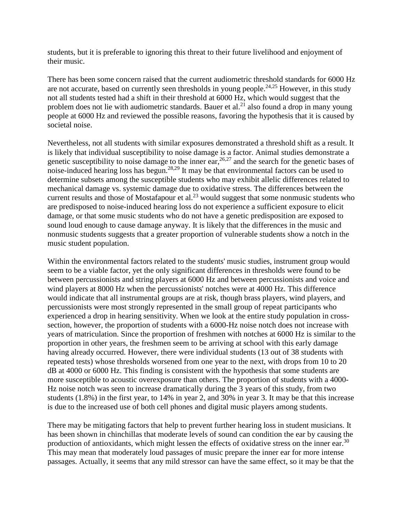students, but it is preferable to ignoring this threat to their future livelihood and enjoyment of their music.

There has been some concern raised that the current audiometric threshold standards for 6000 Hz are not accurate, based on currently seen thresholds in young people.<sup>24,25</sup> However, in this study not all students tested had a shift in their threshold at 6000 Hz, which would suggest that the problem does not lie with audiometric standards. Bauer et al.<sup>21</sup> also found a drop in many young people at 6000 Hz and reviewed the possible reasons, favoring the hypothesis that it is caused by societal noise.

Nevertheless, not all students with similar exposures demonstrated a threshold shift as a result. It is likely that individual susceptibility to noise damage is a factor. Animal studies demonstrate a genetic susceptibility to noise damage to the inner ear,  $26.27$  and the search for the genetic bases of noise-induced hearing loss has begun.28,29 It may be that environmental factors can be used to determine subsets among the susceptible students who may exhibit allelic differences related to mechanical damage vs. systemic damage due to oxidative stress. The differences between the current results and those of Mostafapour et al.<sup>23</sup> would suggest that some nonmusic students who are predisposed to noise-induced hearing loss do not experience a sufficient exposure to elicit damage, or that some music students who do not have a genetic predisposition are exposed to sound loud enough to cause damage anyway. It is likely that the differences in the music and nonmusic students suggests that a greater proportion of vulnerable students show a notch in the music student population.

Within the environmental factors related to the students' music studies, instrument group would seem to be a viable factor, yet the only significant differences in thresholds were found to be between percussionists and string players at 6000 Hz and between percussionists and voice and wind players at 8000 Hz when the percussionists' notches were at 4000 Hz. This difference would indicate that all instrumental groups are at risk, though brass players, wind players, and percussionists were most strongly represented in the small group of repeat participants who experienced a drop in hearing sensitivity. When we look at the entire study population in crosssection, however, the proportion of students with a 6000-Hz noise notch does not increase with years of matriculation. Since the proportion of freshmen with notches at 6000 Hz is similar to the proportion in other years, the freshmen seem to be arriving at school with this early damage having already occurred. However, there were individual students (13 out of 38 students with repeated tests) whose thresholds worsened from one year to the next, with drops from 10 to 20 dB at 4000 or 6000 Hz. This finding is consistent with the hypothesis that some students are more susceptible to acoustic overexposure than others. The proportion of students with a 4000- Hz noise notch was seen to increase dramatically during the 3 years of this study, from two students (1.8%) in the first year, to 14% in year 2, and 30% in year 3. It may be that this increase is due to the increased use of both cell phones and digital music players among students.

There may be mitigating factors that help to prevent further hearing loss in student musicians. It has been shown in chinchillas that moderate levels of sound can condition the ear by causing the production of antioxidants, which might lessen the effects of oxidative stress on the inner ear.<sup>30</sup> This may mean that moderately loud passages of music prepare the inner ear for more intense passages. Actually, it seems that any mild stressor can have the same effect, so it may be that the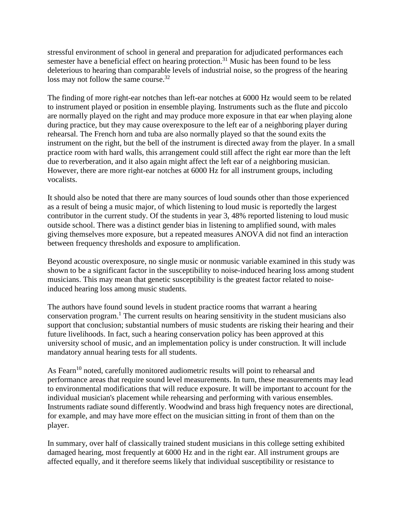stressful environment of school in general and preparation for adjudicated performances each semester have a beneficial effect on hearing protection.<sup>31</sup> Music has been found to be less deleterious to hearing than comparable levels of industrial noise, so the progress of the hearing loss may not follow the same course.<sup>32</sup>

The finding of more right-ear notches than left-ear notches at 6000 Hz would seem to be related to instrument played or position in ensemble playing. Instruments such as the flute and piccolo are normally played on the right and may produce more exposure in that ear when playing alone during practice, but they may cause overexposure to the left ear of a neighboring player during rehearsal. The French horn and tuba are also normally played so that the sound exits the instrument on the right, but the bell of the instrument is directed away from the player. In a small practice room with hard walls, this arrangement could still affect the right ear more than the left due to reverberation, and it also again might affect the left ear of a neighboring musician. However, there are more right-ear notches at 6000 Hz for all instrument groups, including vocalists.

It should also be noted that there are many sources of loud sounds other than those experienced as a result of being a music major, of which listening to loud music is reportedly the largest contributor in the current study. Of the students in year 3, 48% reported listening to loud music outside school. There was a distinct gender bias in listening to amplified sound, with males giving themselves more exposure, but a repeated measures ANOVA did not find an interaction between frequency thresholds and exposure to amplification.

Beyond acoustic overexposure, no single music or nonmusic variable examined in this study was shown to be a significant factor in the susceptibility to noise-induced hearing loss among student musicians. This may mean that genetic susceptibility is the greatest factor related to noiseinduced hearing loss among music students.

The authors have found sound levels in student practice rooms that warrant a hearing conservation program.1 The current results on hearing sensitivity in the student musicians also support that conclusion; substantial numbers of music students are risking their hearing and their future livelihoods. In fact, such a hearing conservation policy has been approved at this university school of music, and an implementation policy is under construction. It will include mandatory annual hearing tests for all students.

As Fearn<sup>10</sup> noted, carefully monitored audiometric results will point to rehearsal and performance areas that require sound level measurements. In turn, these measurements may lead to environmental modifications that will reduce exposure. It will be important to account for the individual musician's placement while rehearsing and performing with various ensembles. Instruments radiate sound differently. Woodwind and brass high frequency notes are directional, for example, and may have more effect on the musician sitting in front of them than on the player.

In summary, over half of classically trained student musicians in this college setting exhibited damaged hearing, most frequently at 6000 Hz and in the right ear. All instrument groups are affected equally, and it therefore seems likely that individual susceptibility or resistance to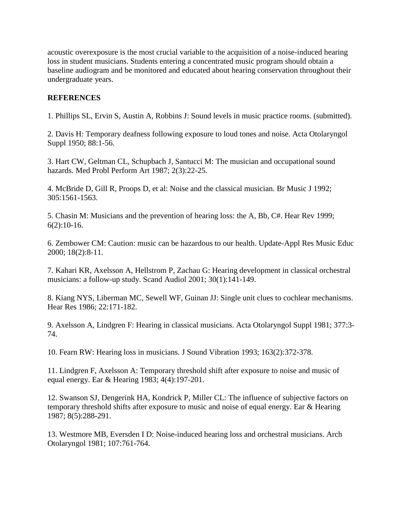acoustic overexposure is the most crucial variable to the acquisition of a noise-induced hearing loss in student musicians. Students entering a concentrated music program should obtain a baseline audiogram and be monitored and educated about hearing conservation throughout their undergraduate years.

## **REFERENCES**

1. Phillips SL, Ervin S, Austin A, Robbins J: Sound levels in music practice rooms. (submitted).

2. Davis H: Temporary deafness following exposure to loud tones and noise. Acta Otolaryngol Suppl 1950; 88:1-56.

3. Hart CW, Geltman CL, Schupbach J, Santucci M: The musician and occupational sound hazards. Med Probl Perform Art 1987; 2(3):22-25.

4. McBride D, Gill R, Proops D, et al: Noise and the classical musician. Br Music J 1992; 305:1561-1563.

5. Chasin M: Musicians and the prevention of hearing loss: the A, Bb, C#. Hear Rev 1999;  $6(2):10-16.$ 

6. Zembower CM: Caution: music can be hazardous to our health. Update-Appl Res Music Educ 2000; 18(2):8-11.

7. Kahari KR, Axelsson A, Hellstrom P, Zachau G: Hearing development in classical orchestral musicians: a follow-up study. Scand Audiol 2001; 30(1):141-149.

8. Kiang NYS, Liberman MC, Sewell WF, Guinan JJ: Single unit clues to cochlear mechanisms. Hear Res 1986; 22:171-182.

9. Axelsson A, Lindgren F: Hearing in classical musicians. Acta Otolaryngol Suppl 1981; 377:3- 74.

10. Fearn RW: Hearing loss in musicians. J Sound Vibration 1993; 163(2):372-378.

11. Lindgren F, Axelsson A: Temporary threshold shift after exposure to noise and music of equal energy. Ear & Hearing 1983; 4(4):197-201.

12. Swanson SJ, Dengerink HA, Kondrick P, Miller CL: The influence of subjective factors on temporary threshold shifts after exposure to music and noise of equal energy. Ear & Hearing 1987; 8(5):288-291.

13. Westmore MB, Eversden I D: Noise-induced hearing loss and orchestral musicians. Arch Otolaryngol 1981; 107:761-764.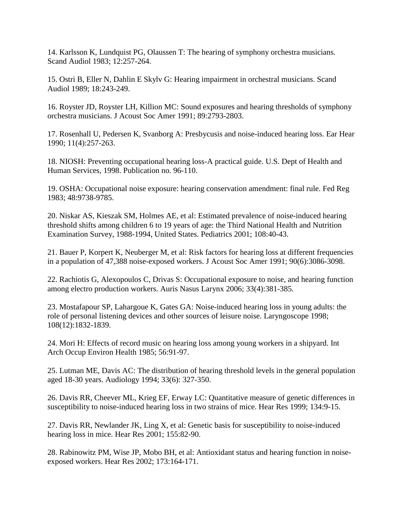14. Karlsson K, Lundquist PG, Olaussen T: The hearing of symphony orchestra musicians. Scand Audiol 1983; 12:257-264.

15. Ostri B, Eller N, Dahlin E Skylv G: Hearing impairment in orchestral musicians. Scand Audiol 1989; 18:243-249.

16. Royster JD, Royster LH, Killion MC: Sound exposures and hearing thresholds of symphony orchestra musicians. J Acoust Soc Amer 1991; 89:2793-2803.

17. Rosenhall U, Pedersen K, Svanborg A: Presbycusis and noise-induced hearing loss. Ear Hear 1990; 11(4):257-263.

18. NIOSH: Preventing occupational hearing loss-A practical guide. U.S. Dept of Health and Human Services, 1998. Publication no. 96-110.

19. OSHA: Occupational noise exposure: hearing conservation amendment: final rule. Fed Reg 1983; 48:9738-9785.

20. Niskar AS, Kieszak SM, Holmes AE, et al: Estimated prevalence of noise-induced hearing threshold shifts among children 6 to 19 years of age: the Third National Health and Nutrition Examination Survey, 1988-1994, United States. Pediatrics 2001; 108:40-43.

21. Bauer P, Korpert K, Neuberger M, et al: Risk factors for hearing loss at different frequencies in a population of 47,388 noise-exposed workers. J Acoust Soc Amer 1991; 90(6):3086-3098.

22. Rachiotis G, Alexopoulos C, Drivas S: Occupational exposure to noise, and hearing function among electro production workers. Auris Nasus Larynx 2006; 33(4):381-385.

23. Mostafapour SP, Lahargoue K, Gates GA: Noise-induced hearing loss in young adults: the role of personal listening devices and other sources of leisure noise. Laryngoscope 1998; 108(12):1832-1839.

24. Mori H: Effects of record music on hearing loss among young workers in a shipyard. Int Arch Occup Environ Health 1985; 56:91-97.

25. Lutman ME, Davis AC: The distribution of hearing threshold levels in the general population aged 18-30 years. Audiology 1994; 33(6): 327-350.

26. Davis RR, Cheever ML, Krieg EF, Erway LC: Quantitative measure of genetic differences in susceptibility to noise-induced hearing loss in two strains of mice. Hear Res 1999; 134:9-15.

27. Davis RR, Newlander JK, Ling X, et al: Genetic basis for susceptibility to noise-induced hearing loss in mice. Hear Res 2001; 155:82-90.

28. Rabinowitz PM, Wise JP, Mobo BH, et al: Antioxidant status and hearing function in noiseexposed workers. Hear Res 2002; 173:164-171.